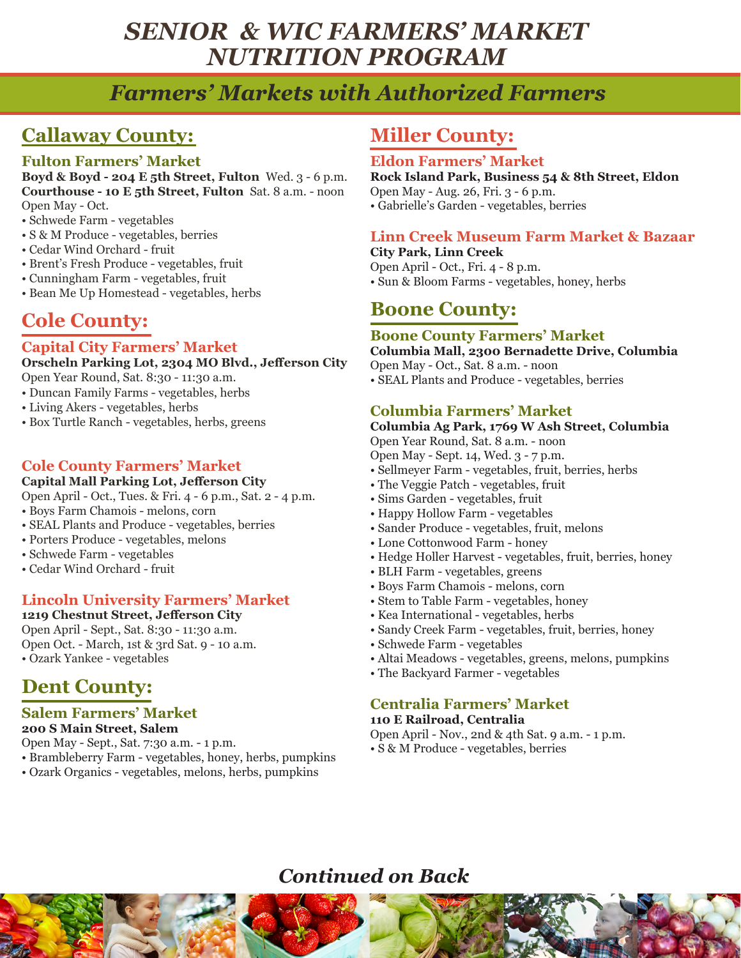# *SENIOR & WIC FARMERS' MARKET NUTRITION PROGRAM*

# *Farmers' Markets with Authorized Farmers*

# **Callaway County:**

## **Fulton Farmers' Market**

**Boyd & Boyd - 204 E 5th Street, Fulton** Wed. 3 - 6 p.m. **Courthouse - 10 E 5th Street, Fulton** Sat. 8 a.m. - noon Open May - Oct.

- Schwede Farm vegetables
- S & M Produce vegetables, berries
- Cedar Wind Orchard fruit
- Brent's Fresh Produce vegetables, fruit
- Cunningham Farm vegetables, fruit
- Bean Me Up Homestead vegetables, herbs

# **Cole County:**

### **Capital City Farmers' Market**

**Orscheln Parking Lot, 2304 MO Blvd., Jefferson City**

Open Year Round, Sat. 8:30 - 11:30 a.m.

- Duncan Family Farms vegetables, herbs
- Living Akers vegetables, herbs
- Box Turtle Ranch vegetables, herbs, greens

## **Cole County Farmers' Market**

#### **Capital Mall Parking Lot, Jefferson City**

Open April - Oct., Tues. & Fri. 4 - 6 p.m., Sat. 2 - 4 p.m.

• Boys Farm Chamois - melons, corn

- SEAL Plants and Produce vegetables, berries
- Porters Produce vegetables, melons
- Schwede Farm vegetables
- Cedar Wind Orchard fruit

## **Lincoln University Farmers' Market**

**1219 Chestnut Street, Jefferson City** Open April - Sept., Sat. 8:30 - 11:30 a.m. Open Oct. - March, 1st & 3rd Sat. 9 - 10 a.m. • Ozark Yankee - vegetables

# **Dent County:**

#### **Salem Farmers' Market 200 S Main Street, Salem**

Open May - Sept., Sat. 7:30 a.m. - 1 p.m.

- Brambleberry Farm vegetables, honey, herbs, pumpkins
- Ozark Organics vegetables, melons, herbs, pumpkins

## **Miller County:**

### **Eldon Farmers' Market**

**Rock Island Park, Business 54 & 8th Street, Eldon** Open May - Aug. 26, Fri. 3 - 6 p.m.

• Gabrielle's Garden - vegetables, berries

#### **Linn Creek Museum Farm Market & Bazaar City Park, Linn Creek**

Open April - Oct., Fri. 4 - 8 p.m. • Sun & Bloom Farms - vegetables, honey, herbs

## **Boone County:**

## **Boone County Farmers' Market**

**Columbia Mall, 2300 Bernadette Drive, Columbia** Open May - Oct., Sat. 8 a.m. - noon

• SEAL Plants and Produce - vegetables, berries

## **Columbia Farmers' Market**

### **Columbia Ag Park, 1769 W Ash Street, Columbia**

Open Year Round, Sat. 8 a.m. - noon

Open May - Sept. 14, Wed. 3 - 7 p.m.

- Sellmeyer Farm vegetables, fruit, berries, herbs
- The Veggie Patch vegetables, fruit
- Sims Garden vegetables, fruit
- Happy Hollow Farm vegetables
- Sander Produce vegetables, fruit, melons
- Lone Cottonwood Farm honey
- Hedge Holler Harvest vegetables, fruit, berries, honey
- BLH Farm vegetables, greens
- Boys Farm Chamois melons, corn
- Stem to Table Farm vegetables, honey
- Kea International vegetables, herbs
- Sandy Creek Farm vegetables, fruit, berries, honey
- Schwede Farm vegetables
- Altai Meadows vegetables, greens, melons, pumpkins
- The Backyard Farmer vegetables

## **Centralia Farmers' Market**

## **110 E Railroad, Centralia**

Open April - Nov., 2nd & 4th Sat. 9 a.m. - 1 p.m.

• S & M Produce - vegetables, berries

# *Continued on Back*